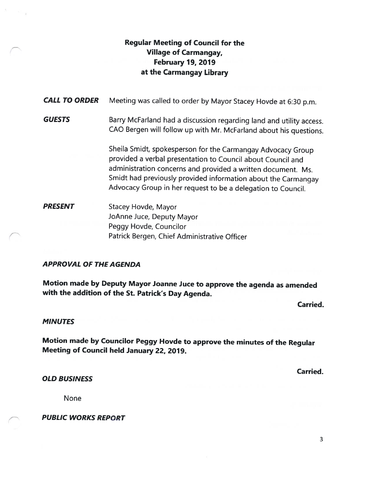# Regular Meeting of Council for the Village of Carmangay, February 79, 2019 at the Carmangay Library

| <b>CALL TO ORDER</b> | Meeting was called to order by Mayor Stacey Hovde at 6:30 p.m.                                                                                                                                                                                                                                                              |
|----------------------|-----------------------------------------------------------------------------------------------------------------------------------------------------------------------------------------------------------------------------------------------------------------------------------------------------------------------------|
| <b>GUESTS</b>        | Barry McFarland had a discussion regarding land and utility access.<br>CAO Bergen will follow up with Mr. McFarland about his questions.                                                                                                                                                                                    |
|                      | Sheila Smidt, spokesperson for the Carmangay Advocacy Group<br>provided a verbal presentation to Council about Council and<br>administration concerns and provided a written document. Ms.<br>Smidt had previously provided information about the Carmangay<br>Advocacy Group in her request to be a delegation to Council. |
| <b>PRESENT</b>       | Stacey Hovde, Mayor<br>JoAnne Juce, Deputy Mayor<br>Peggy Hovde, Councilor<br>Patrick Bergen, Chief Administrative Officer                                                                                                                                                                                                  |
|                      |                                                                                                                                                                                                                                                                                                                             |

# APPROVAL OF THE AGENDA

Motion made by Deputy Mayor Joanne Juce to approve the agenda as amended with the addition of the St. Patrick's Day Agenda.

Carried.

# MINUTES

Motion made by Councilor Peggy Hovde to approve the minutes of the Regular Meeting of Council held January 22, 2019.

Carried.

OLD BUSINESS

None

PUBLIC WORKS REPORT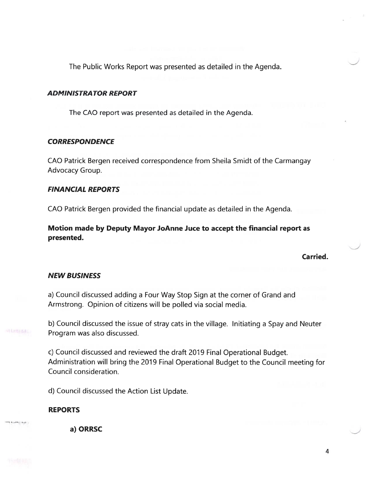The Public Works Report was presented as detailed in the Agenda.

### ADMINISTRATOR REPORT

The CAO report was presented as detailed in the Agenda.

### **CORRESPONDENCE**

CAD Patrick Bergen received correspondence from Sheila Smidt of the Carmangay Advocacy Group.

# FINANCIAL REPORTS

CAO Patrick Bergen provided the financial update as detailed in the Agenda.

Motion made by Deputy Mayor JoAnne Juce to accep<sup>t</sup> the financial repor<sup>t</sup> as presented.

Carried.

# NEW BUSINESS

a) Council discussed adding <sup>a</sup> Four Way Stop Sign at the corner of Grand and Armstrong. Opinion of citizens will be polled via social media.

b) Council discussed the issue of stray cats in the village. Initiating <sup>a</sup> Spay and Neuter Program was also discussed.

c) Council discussed and reviewed the draft <sup>2019</sup> Final Operational Budget. Administration will bring the 2019 Final Operational Budget to the Council meeting for Council consideration.

d) Council discussed the Action List Update.

# REPORTS

a) ORRSC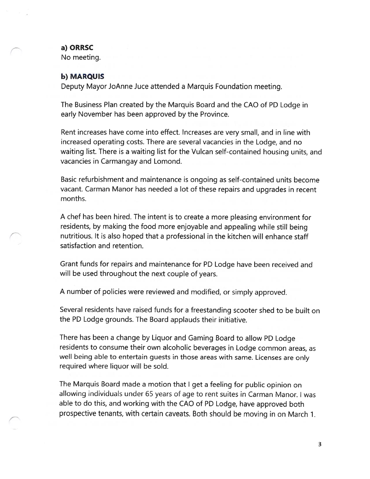#### a) ORRSC

No meeting.

#### b) MARQUIS

Deputy Mayor JoAnne Juce attended a Marquis Foundation meeting.

The Business Plan created by the Marquis Board and the CAO of PD Lodge in early November has been approved by the Province.

Rent increases have come into effect. Increases are very small, and in line with increased operating costs. There are several vacancies in the Lodge, and no waiting list. There is a waiting list for the Vulcan self-contained housing units, and vacancies in Carmangay and Lomond.

Basic refurbishment and maintenance is ongoing as self-contained units become vacant. Carman Manor has needed a lot of these repairs and upgrades in recent months.

A chef has been hired. The intent is to create a more pleasing environment for residents, by making the food more enjoyable and appealing while still being nutritious. It is also hoped that a professional in the kitchen will enhance staff satisfaction and retention.

Grant funds for repairs and maintenance for PD Lodge have been received and will be used throughout the next couple of years.

<sup>A</sup> number of policies were reviewed and modified, or simply approved.

Several residents have raised funds for <sup>a</sup> freestanding scooter shed to be built on the PD Lodge grounds. The Board applauds their initiative.

There has been a change by Liquor and Gaming Board to allow PD Lodge residents to consume their own alcoholic beverages in Lodge common areas, as well being able to entertain guests in those areas with same. Licenses are only required where liquor will be sold.

The Marquis Board made a motion that <sup>I</sup> get a feeling for public opinion on allowing individuals under 65 years of age to rent suites in Carman Manor. <sup>I</sup> was able to do this, and working with the CAO of PD Lodge, have approved both prospective tenants, with certain caveats. Both should be moving in on March 1.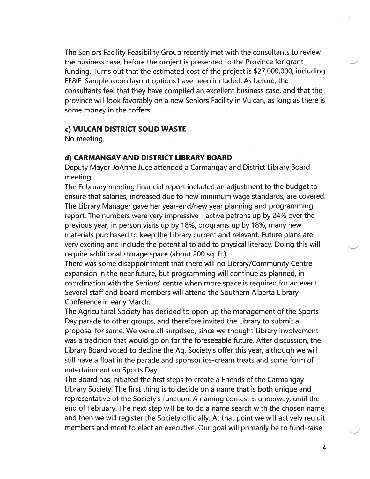The Seniors Facility Feasibility Group recently met with the consultants to review the business case, before the project is presented to the Province for gran<sup>t</sup> funding. Turns out that the estimated cost of the project is \$27,000,000, including FF&E. Sample room layout options have been included. As before, the consultants feel that they have compiled an excellent business case, and that the province will look favorably on <sup>a</sup> new Seniors Facility in Vulcan, as long as there is some money in the coffers.

#### c) VULCAN DISTRICT SOLID WASTE

No meeting.

### d) CARMANGAY AND DISTRICT LIBRARY BOARD

Deputy Mayor JoAnne Juce attended <sup>a</sup> Carmangay and District Library Board meeting.

The February meeting financial repor<sup>t</sup> included an adjustment to the budget to ensure that salaries, increased due to new minimum wage standards, are covered. The Library Manager gave her year-end/new year planning and programming report. The numbers were very impressive - active patrons up by 24% over the previous year, in person visits up by 18%, programs up by 18%; many new materials purchased to keep the Library current and relevant. Future plans are very exciting and include the potential to add to physical literacy. Doing this will require additional storage space (about 200 sq. ft.).

There was some disappointment that there will no Library/Community Centre expansion in the near future, but programming will continue as planned, in coordination with the Seniors' centre when more space is required for an event. Several staff and board members will attend the Southern Alberta Library Conference in early March.

The Agricultural Society has decided to open up the managemen<sup>t</sup> of the Sports Day parade to other groups, and therefore invited the Library to submit <sup>a</sup> proposal for same. We were all surprised, since we thought Library involvement was <sup>a</sup> tradition that would go on for the foreseeable future. After discussion, the Library Board voted to decline the Ag. Society's offer this year, although we will still have <sup>a</sup> float in the parade and sponsor ice-cream treats and some form of entertainment on Sports Day.

The Board has initiated the first steps to create <sup>a</sup> Friends of the Carmangay Library Society. The first thing is to decide on <sup>a</sup> name that is both unique and representative of the Society's function. A naming contest is underway, until the end of February. The next step will be to do <sup>a</sup> name search with the chosen name, and then we will register the Society officially. At that point we will actively recruit members and meet to elect an executive. Our goal will primarily be to fund-raise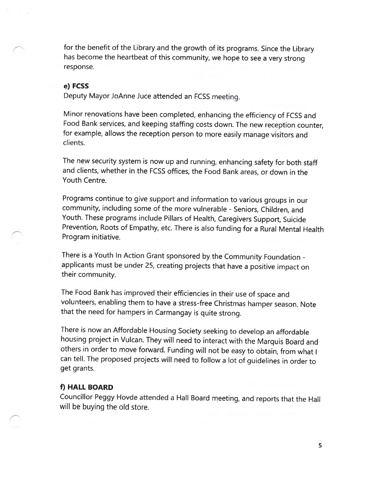for the benefit of the Library and the growth of its programs. Since the Library has become the heartbeat of this community, we hope to see <sup>a</sup> very strong response.

#### e) FCSS

Deputy Mayor JoAnne Juce attended an FCSS meeting.

Minor renovations have been completed, enhancing the efficiency of FCSS and Food Bank services, and keeping staffing costs down. The new reception counter, for example, allows the reception person to more easily manage visitors and clients.

The new security system is now up and running, enhancing safety for both staff and clients, whether in the FCSS offices, the Food Bank areas, or down in the Youth Centre.

Programs continue to <sup>g</sup>ive support and information to various groups in our community, including some of the more vulnerable - Seniors, Children, and Youth. These programs include Pillars of Health, Caregivers Support, Suicide Prevention, Roots of Empathy, etc. There is also funding for <sup>a</sup> Rural Mental Health Program initiative.

There is <sup>a</sup> Youth In Action Grant sponsored by the Community Foundation applicants must be under 25, creating projects that have <sup>a</sup> positive impact on their community.

The Food Bank has improved their efficiencies in their use of space and volunteers, enabling them to have <sup>a</sup> stress-free Christmas hamper season. Note that the need for hampers in Carmangay is quite strong.

There is now an Affordable Housing Society seeking to develop an affordable housing project in Vulcan. They will need to interact with the Marquis Board and others in order to move forward. Funding will not be easy to obtain, from what <sup>I</sup> can tell. The proposed projects will need to follow <sup>a</sup> lot of guidelines in order to get grants.

# f) HALL BOARD

Councillor Peggy Hovde attended <sup>a</sup> Hall Board meeting, and reports that the Hall will be buying the old store.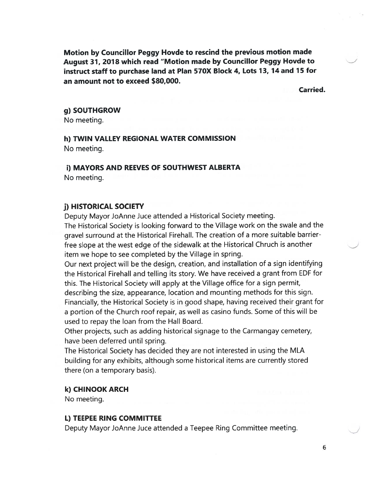Motion by Councillor Peggy Hovde to rescind the previous motion made August 31, <sup>2018</sup> which read "Motion made by Councillor Peggy Hovde to instruct staff to purchase land at Plan 570X Block 4, Lots 13, <sup>14</sup> and <sup>15</sup> for an amount not to exceed \$80,000.

Carried.

#### g) SOUTHGROW

No meeting.

# h) TWIN VALLEY REGIONAL WATER COMMISSION No meeting.

#### i) MAYORS AND REEVES OF SOUTHWEST ALBERTA

No meeting.

#### j) HISTORICAL SOCIETY

Deputy Mayor JoAnne Juce attended <sup>a</sup> Historical Society meeting. The Historical Society is looking forward to the Village work on the swale and the grave<sup>l</sup> surround at the Historical Firehall. The creation of <sup>a</sup> more suitable barrierfree slope at the west edge of the sidewalk at the Historical Chruch is another item we hope to see completed by the Village in spring.

Our next project will be the design, creation, and installation of <sup>a</sup> sign identifying the Historical Firehall and telling its story. We have received <sup>a</sup> gran<sup>t</sup> from EDF for this. The Historical Society will apply at the Village office for <sup>a</sup> sign permit, describing the size, appearance, location and mounting methods for this sign. Financially, the Historical Society is in goo<sup>d</sup> shape, having received their gran<sup>t</sup> for <sup>a</sup> portion of the Church roof repair, as well as casino funds. Some of this will be used to repay the loan from the Hall Board.

Other projects, such as adding historical signage to the Carmangay cemetery, have been deferred until spring.

The Historical Society has decided they are not interested in using the MLA building for any exhibits, although some historical items are currently stored there (on <sup>a</sup> temporary basis).

#### k) CHINOOK ARCH

No meeting.

#### 1) TEEPEE RING COMMITTEE

Deputy Mayor JoAnne Juce attended <sup>a</sup> Teepee Ring Committee meeting.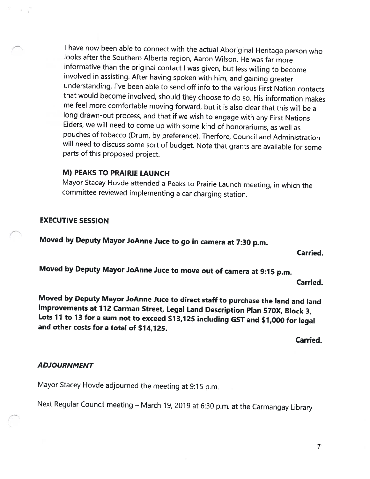<sup>I</sup> have now been able to connect with the actual Aboriginal Heritage person who looks after the Southern Alberta region, Aaron Wilson. He was far more informative than the original contact <sup>I</sup> was <sup>g</sup>iven, but less willing to become involved in assisting. After having spoken with him, and gaining greater understanding, l've been able to send off info to the various First Nation contacts that would become involved, should they choose to do so. His information makes me feel more comfortable moving forward, but it is also clear that this will be <sup>a</sup> long drawn-out process, and that if we wish to engage with any First Nations Elders, we will need to come up with some kind of honorariums, as well as pouches of tobacco (Drum, by preference). Therfore, Council and Administration will need to discuss some sort of budget. Note that grants are available for some parts of this proposed project.

# M) PEAKS TO PRAIRIE LAUNCH

Mayor Stacey Hovde attended <sup>a</sup> Peaks to Prairie Launch meeting, in which the committee reviewed implementing <sup>a</sup> car charging station.

# EXECUTIVE SESSION

Moved by Deputy Mayor JoAnne Juce to go in camera at 7:30 p.m.

Carried.

Moved by Deputy Mayor JoAnne Juce to move out of camera at 9:15 p.m.

Carried.

Moved by Deputy Mayor JoAnne Juce to direct staff to purchase the land and land improvements at <sup>172</sup> Carman Street, Legal Land Description Plan 570X, Block 3, Lots 11 to 13 for a sum not to exceed \$13,125 including GST and \$1,000 for legal and other costs for <sup>a</sup> total of \$74,125.

Carried.

# ADJOURNMENT

Mayor Stacey Hovde adjourned the meeting at 9:15 p.m.

Next Regular Council meeting — March 19, <sup>2019</sup> at 6:30 p.m. at the Carmangay Library